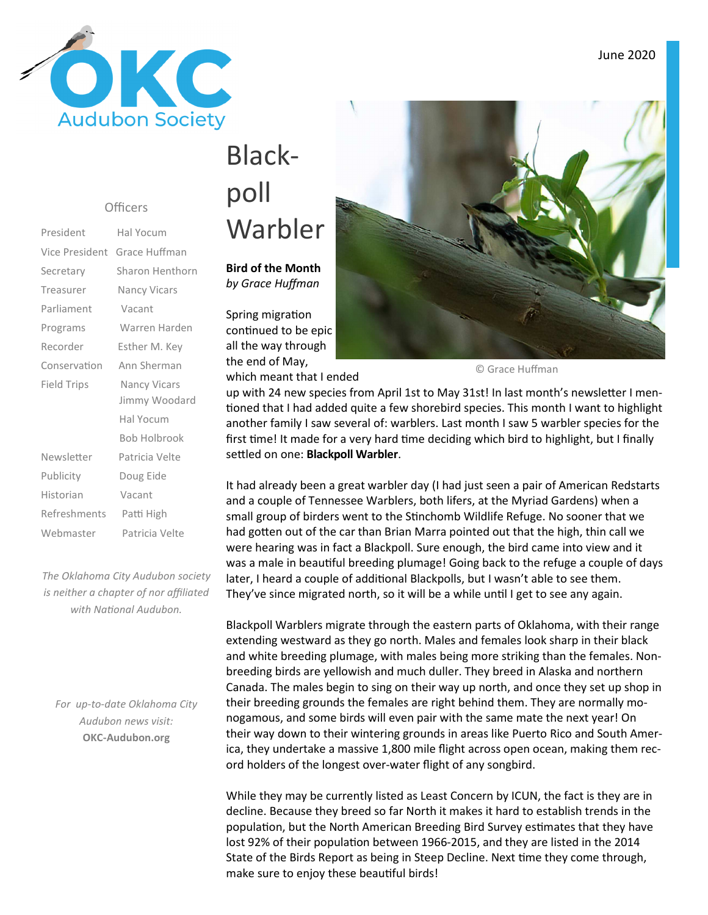

#### **Officers**

| Vice President Grace Huffman |
|------------------------------|
| Sharon Henthorn              |
| Nancy Vicars                 |
| Vacant                       |
| Warren Harden                |
| Esther M. Key                |
| Ann Sherman                  |
| <b>Nancy Vicars</b>          |
| Jimmy Woodard                |
| Hal Yocum                    |
| <b>Bob Holbrook</b>          |
| Patricia Velte               |
| Doug Eide                    |
| Vacant                       |
| Patti High                   |
| Patricia Velte               |
|                              |

*The Oklahoma City Audubon society is neither a chapter of nor affiliated*  with National Audubon.

*For up-to-date Oklahoma City Audubon news visit:* **OKC-Audubon.org** 

# Blackpoll Warbler

#### **Bird of the Month**  *by Grace Huffman*

Spring migration continued to be epic all the way through the end of May,

which meant that I ended



© Grace Huffman

up with 24 new species from April 1st to May 31st! In last month's newsletter I mentioned that I had added quite a few shorebird species. This month I want to highlight another family I saw several of: warblers. Last month I saw 5 warbler species for the first time! It made for a very hard time deciding which bird to highlight, but I finally settled on one: **Blackpoll Warbler**.

It had already been a great warbler day (I had just seen a pair of American Redstarts and a couple of Tennessee Warblers, both lifers, at the Myriad Gardens) when a small group of birders went to the Stinchomb Wildlife Refuge. No sooner that we had gotten out of the car than Brian Marra pointed out that the high, thin call we were hearing was in fact a Blackpoll. Sure enough, the bird came into view and it was a male in beautiful breeding plumage! Going back to the refuge a couple of days later, I heard a couple of additional Blackpolls, but I wasn't able to see them. They've since migrated north, so it will be a while until I get to see any again.

Blackpoll Warblers migrate through the eastern parts of Oklahoma, with their range extending westward as they go north. Males and females look sharp in their black and white breeding plumage, with males being more striking than the females. Nonbreeding birds are yellowish and much duller. They breed in Alaska and northern Canada. The males begin to sing on their way up north, and once they set up shop in their breeding grounds the females are right behind them. They are normally monogamous, and some birds will even pair with the same mate the next year! On their way down to their wintering grounds in areas like Puerto Rico and South America, they undertake a massive 1,800 mile flight across open ocean, making them record holders of the longest over-water flight of any songbird.

While they may be currently listed as Least Concern by ICUN, the fact is they are in decline. Because they breed so far North it makes it hard to establish trends in the population, but the North American Breeding Bird Survey estimates that they have lost 92% of their population between 1966-2015, and they are listed in the 2014 State of the Birds Report as being in Steep Decline. Next time they come through, make sure to enjoy these beautiful birds!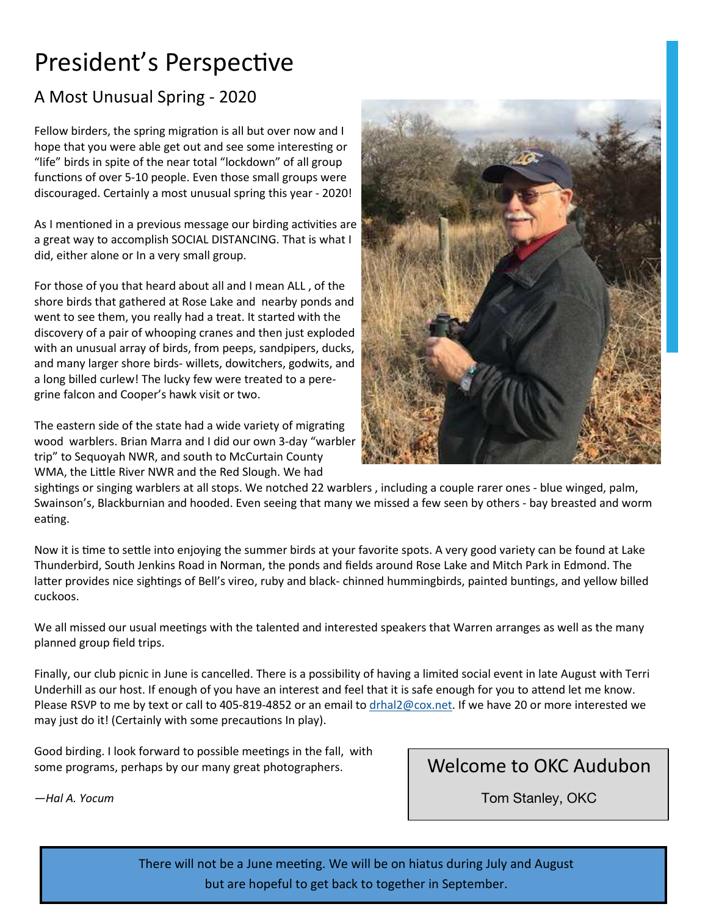## President's Perspective

#### A Most Unusual Spring - 2020

Fellow birders, the spring migration is all but over now and I hope that you were able get out and see some interesting or "life" birds in spite of the near total "lockdown" of all group functions of over 5-10 people. Even those small groups were discouraged. Certainly a most unusual spring this year - 2020!

As I mentioned in a previous message our birding activities are a great way to accomplish SOCIAL DISTANCING. That is what I did, either alone or In a very small group.

For those of you that heard about all and I mean ALL , of the shore birds that gathered at Rose Lake and nearby ponds and went to see them, you really had a treat. It started with the discovery of a pair of whooping cranes and then just exploded with an unusual array of birds, from peeps, sandpipers, ducks, and many larger shore birds- willets, dowitchers, godwits, and a long billed curlew! The lucky few were treated to a peregrine falcon and Cooper's hawk visit or two.

The eastern side of the state had a wide variety of migrating wood warblers. Brian Marra and I did our own 3-day "warbler trip" to Sequoyah NWR, and south to McCurtain County WMA, the Little River NWR and the Red Slough. We had



sightings or singing warblers at all stops. We notched 22 warblers, including a couple rarer ones - blue winged, palm, Swainson's, Blackburnian and hooded. Even seeing that many we missed a few seen by others - bay breasted and worm eating.

Now it is time to settle into enjoying the summer birds at your favorite spots. A very good variety can be found at Lake Thunderbird, South Jenkins Road in Norman, the ponds and fields around Rose Lake and Mitch Park in Edmond. The latter provides nice sightings of Bell's vireo, ruby and black- chinned hummingbirds, painted buntings, and yellow billed cuckoos.

We all missed our usual meetings with the talented and interested speakers that Warren arranges as well as the many planned group field trips.

Finally, our club picnic in June is cancelled. There is a possibility of having a limited social event in late August with Terri Underhill as our host. If enough of you have an interest and feel that it is safe enough for you to attend let me know. Please RSVP to me by text or call to 405-819-4852 or an email to drhal2@cox.net. If we have 20 or more interested we may just do it! (Certainly with some precautions In play).

Good birding. I look forward to possible meetings in the fall, with some programs, perhaps by our many great photographers.

Welcome to OKC Audubon

*—Hal A. Yocum* 

Tom Stanley, OKC

There will not be a June meeting. We will be on hiatus during July and August but are hopeful to get back to together in September.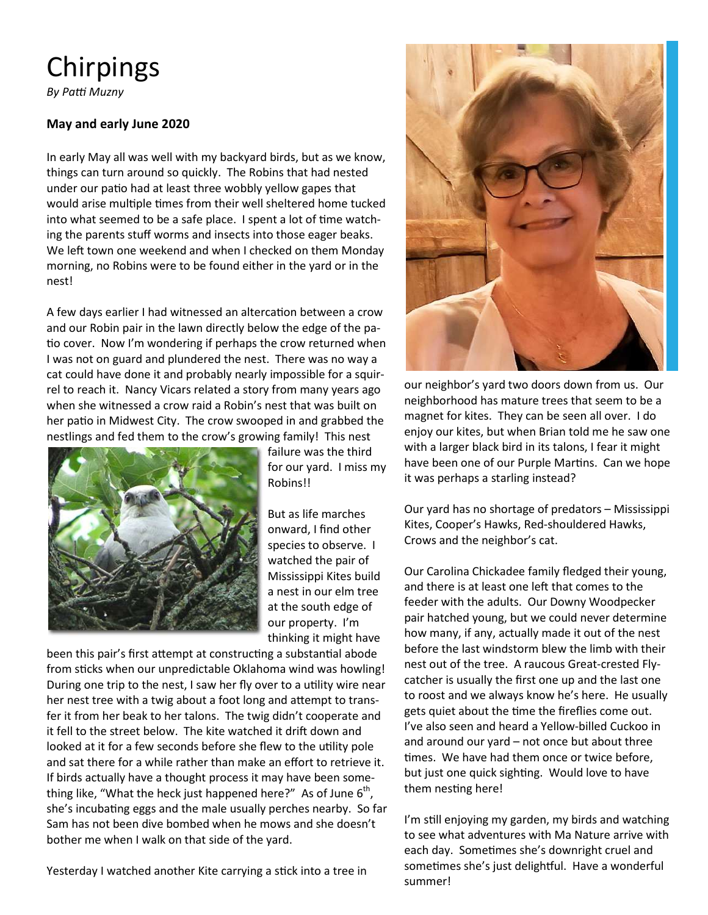## Chirpings

**By Patti Muzny** 

#### **May and early June 2020**

In early May all was well with my backyard birds, but as we know, things can turn around so quickly. The Robins that had nested under our patio had at least three wobbly yellow gapes that would arise multiple times from their well sheltered home tucked into what seemed to be a safe place. I spent a lot of time watching the parents stuff worms and insects into those eager beaks. We left town one weekend and when I checked on them Monday morning, no Robins were to be found either in the yard or in the nest!

A few days earlier I had witnessed an altercation between a crow and our Robin pair in the lawn directly below the edge of the pa tio cover. Now I'm wondering if perhaps the crow returned when I was not on guard and plundered the nest. There was no way a cat could have done it and probably nearly impossible for a squirrel to reach it. Nancy Vicars related a story from many years ago when she witnessed a crow raid a Robin's nest that was built on her patio in Midwest City. The crow swooped in and grabbed the nestlings and fed them to the crow's growing family! This nest



failure was the third for our yard. I miss my Robins!!

But as life marches onward, I find other species to observe. I watched the pair of Mississippi Kites build a nest in our elm tree at the south edge of our property. I'm thinking it might have

been this pair's first attempt at constructing a substantial abode from sticks when our unpredictable Oklahoma wind was howling! During one trip to the nest, I saw her fly over to a utility wire near her nest tree with a twig about a foot long and attempt to transfer it from her beak to her talons. The twig didn't cooperate and it fell to the street below. The kite watched it drift down and looked at it for a few seconds before she flew to the utility pole and sat there for a while rather than make an effort to retrieve it. If birds actually have a thought process it may have been something like, "What the heck just happened here?" As of June  $6<sup>th</sup>$ , she's incubating eggs and the male usually perches nearby. So far Sam has not been dive bombed when he mows and she doesn't bother me when I walk on that side of the yard.

Yesterday I watched another Kite carrying a stick into a tree in



our neighbor's yard two doors down from us. Our neighborhood has mature trees that seem to be a magnet for kites. They can be seen all over. I do enjoy our kites, but when Brian told me he saw one with a larger black bird in its talons, I fear it might have been one of our Purple Martins. Can we hope it was perhaps a starling instead?

Our yard has no shortage of predators – Mississippi Kites, Cooper's Hawks, Red-shouldered Hawks, Crows and the neighbor's cat.

Our Carolina Chickadee family fledged their young, and there is at least one left that comes to the feeder with the adults. Our Downy Woodpecker pair hatched young, but we could never determine how many, if any, actually made it out of the nest before the last windstorm blew the limb with their nest out of the tree. A raucous Great-crested Flycatcher is usually the first one up and the last one to roost and we always know he's here. He usually gets quiet about the time the fireflies come out. I've also seen and heard a Yellow-billed Cuckoo in and around our yard – not once but about three times. We have had them once or twice before, but just one quick sighting. Would love to have them nesting here!

I'm still enjoying my garden, my birds and watching to see what adventures with Ma Nature arrive with each day. Sometimes she's downright cruel and sometimes she's just delightful. Have a wonderful summer!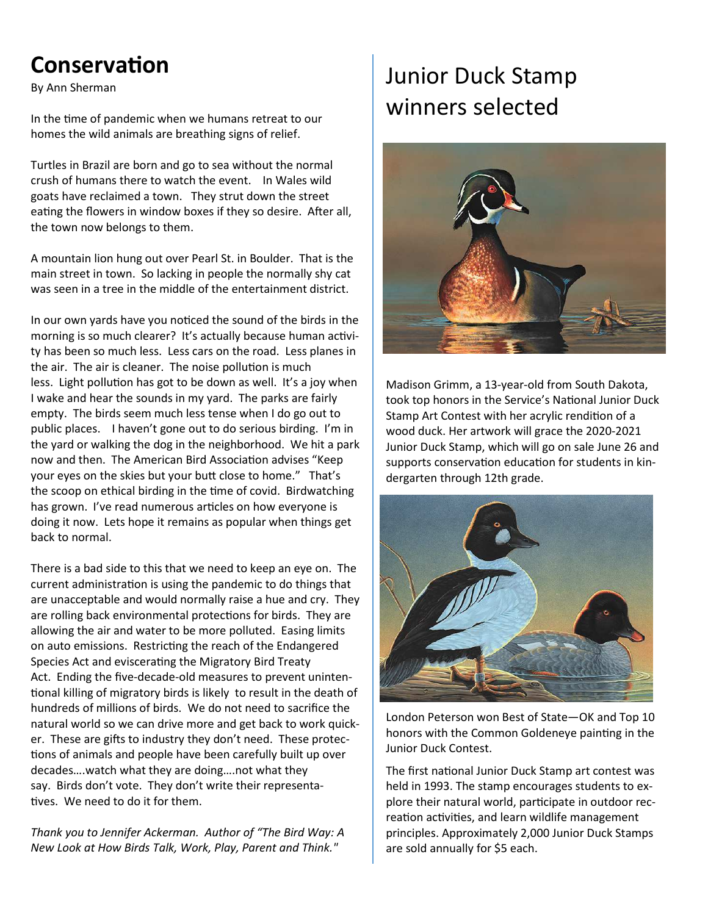## **Conservation**

By Ann Sherman

In the time of pandemic when we humans retreat to our homes the wild animals are breathing signs of relief.

Turtles in Brazil are born and go to sea without the normal crush of humans there to watch the event. In Wales wild goats have reclaimed a town. They strut down the street eating the flowers in window boxes if they so desire. After all, the town now belongs to them.

A mountain lion hung out over Pearl St. in Boulder. That is the main street in town. So lacking in people the normally shy cat was seen in a tree in the middle of the entertainment district.

In our own yards have you noticed the sound of the birds in the morning is so much clearer? It's actually because human activity has been so much less. Less cars on the road. Less planes in the air. The air is cleaner. The noise pollution is much less. Light pollution has got to be down as well. It's a joy when I wake and hear the sounds in my yard. The parks are fairly empty. The birds seem much less tense when I do go out to public places. I haven't gone out to do serious birding. I'm in the yard or walking the dog in the neighborhood. We hit a park now and then. The American Bird Association advises "Keep your eyes on the skies but your butt close to home." That's the scoop on ethical birding in the time of covid. Birdwatching has grown. I've read numerous articles on how everyone is doing it now. Lets hope it remains as popular when things get back to normal.

There is a bad side to this that we need to keep an eye on. The current administration is using the pandemic to do things that are unacceptable and would normally raise a hue and cry. They are rolling back environmental protections for birds. They are allowing the air and water to be more polluted. Easing limits on auto emissions. Restricting the reach of the Endangered Species Act and eviscerating the Migratory Bird Treaty Act. Ending the five-decade-old measures to prevent uninten tional killing of migratory birds is likely to result in the death of hundreds of millions of birds. We do not need to sacrifice the natural world so we can drive more and get back to work quicker. These are gifts to industry they don't need. These protections of animals and people have been carefully built up over decades….watch what they are doing….not what they say. Birds don't vote. They don't write their representa tives. We need to do it for them.

*Thank you to Jennifer Ackerman. Author of "The Bird Way: A New Look at How Birds Talk, Work, Play, Parent and Think."* 

## Junior Duck Stamp winners selected



Madison Grimm, a 13-year-old from South Dakota, took top honors in the Service's National Junior Duck Stamp Art Contest with her acrylic rendition of a wood duck. Her artwork will grace the 2020-2021 Junior Duck Stamp, which will go on sale June 26 and supports conservation education for students in kindergarten through 12th grade.



London Peterson won Best of State—OK and Top 10 honors with the Common Goldeneye painting in the Junior Duck Contest.

The first national Junior Duck Stamp art contest was held in 1993. The stamp encourages students to explore their natural world, participate in outdoor recreation activities, and learn wildlife management principles. Approximately 2,000 Junior Duck Stamps are sold annually for \$5 each.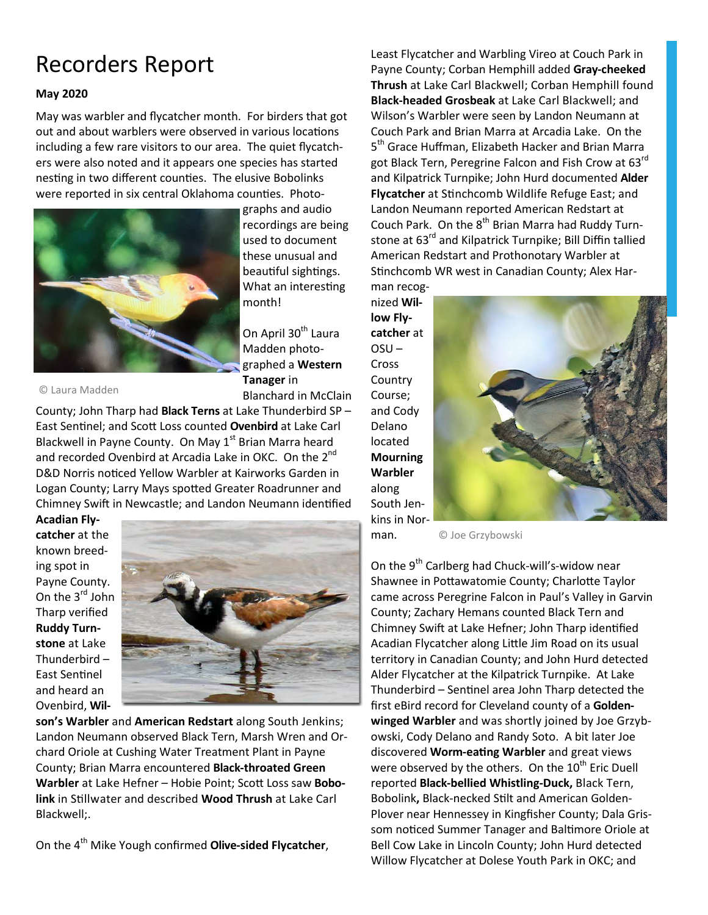## Recorders Report

#### **May 2020**

May was warbler and flycatcher month. For birders that got out and about warblers were observed in various locations including a few rare visitors to our area. The quiet flycatchers were also noted and it appears one species has started nesting in two different counties. The elusive Bobolinks were reported in six central Oklahoma counties. Photo-



graphs and audio recordings are being used to document these unusual and beautiful sightings. What an interesting month!

On April 30<sup>th</sup> Laura Madden photographed a **Western Tanager** in Blanchard in McClain

© Laura Madden

County; John Tharp had **Black Terns** at Lake Thunderbird SP – East Sentinel; and Scott Loss counted Ovenbird at Lake Carl Blackwell in Payne County. On May 1<sup>st</sup> Brian Marra heard and recorded Ovenbird at Arcadia Lake in OKC. On the 2<sup>nd</sup> D&D Norris noticed Yellow Warbler at Kairworks Garden in Logan County; Larry Mays spotted Greater Roadrunner and Chimney Swift in Newcastle; and Landon Neumann identified

**Acadian Flycatcher** at the known breeding spot in Payne County. On the 3<sup>rd</sup> John Tharp verified **Ruddy Turnstone** at Lake Thunderbird – East Sentinel and heard an Ovenbird, **Wil-**



**son's Warbler** and **American Redstart** along South Jenkins; Landon Neumann observed Black Tern, Marsh Wren and Orchard Oriole at Cushing Water Treatment Plant in Payne County; Brian Marra encountered **Black-throated Green**  Warbler at Lake Hefner - Hobie Point; Scott Loss saw Bobo**link** in Stillwater and described **Wood Thrush** at Lake Carl Blackwell;.

On the 4th Mike Yough confirmed **Olive-sided Flycatcher**,

Least Flycatcher and Warbling Vireo at Couch Park in Payne County; Corban Hemphill added **Gray-cheeked Thrush** at Lake Carl Blackwell; Corban Hemphill found **Black-headed Grosbeak** at Lake Carl Blackwell; and Wilson's Warbler were seen by Landon Neumann at Couch Park and Brian Marra at Arcadia Lake. On the 5<sup>th</sup> Grace Huffman, Elizabeth Hacker and Brian Marra got Black Tern, Peregrine Falcon and Fish Crow at 63<sup>rd</sup> and Kilpatrick Turnpike; John Hurd documented **Alder Flycatcher** at Stinchcomb Wildlife Refuge East; and Landon Neumann reported American Redstart at Couch Park. On the  $8<sup>th</sup>$  Brian Marra had Ruddy Turnstone at 63<sup>rd</sup> and Kilpatrick Turnpike; Bill Diffin tallied American Redstart and Prothonotary Warbler at Stinchcomb WR west in Canadian County; Alex Har-

man recognized **Willow Flycatcher** at  $OSU -$ Cross **Country** Course; and Cody Delano located **Mourning Warbler** along South Jenkins in Norman.



© Joe Grzybowski

On the 9<sup>th</sup> Carlberg had Chuck-will's-widow near Shawnee in Pottawatomie County; Charlotte Taylor came across Peregrine Falcon in Paul's Valley in Garvin County; Zachary Hemans counted Black Tern and Chimney Swift at Lake Hefner; John Tharp identified Acadian Flycatcher along Little Jim Road on its usual territory in Canadian County; and John Hurd detected Alder Flycatcher at the Kilpatrick Turnpike. At Lake Thunderbird  $-$  Sentinel area John Tharp detected the first eBird record for Cleveland county of a **Goldenwinged Warbler** and was shortly joined by Joe Grzybowski, Cody Delano and Randy Soto. A bit later Joe discovered **Worm-eating Warbler** and great views were observed by the others. On the  $10<sup>th</sup>$  Eric Duell reported **Black-bellied Whistling-Duck,** Black Tern, Bobolink, Black-necked Stilt and American Golden-Plover near Hennessey in Kingfisher County; Dala Grissom noticed Summer Tanager and Baltimore Oriole at Bell Cow Lake in Lincoln County; John Hurd detected Willow Flycatcher at Dolese Youth Park in OKC; and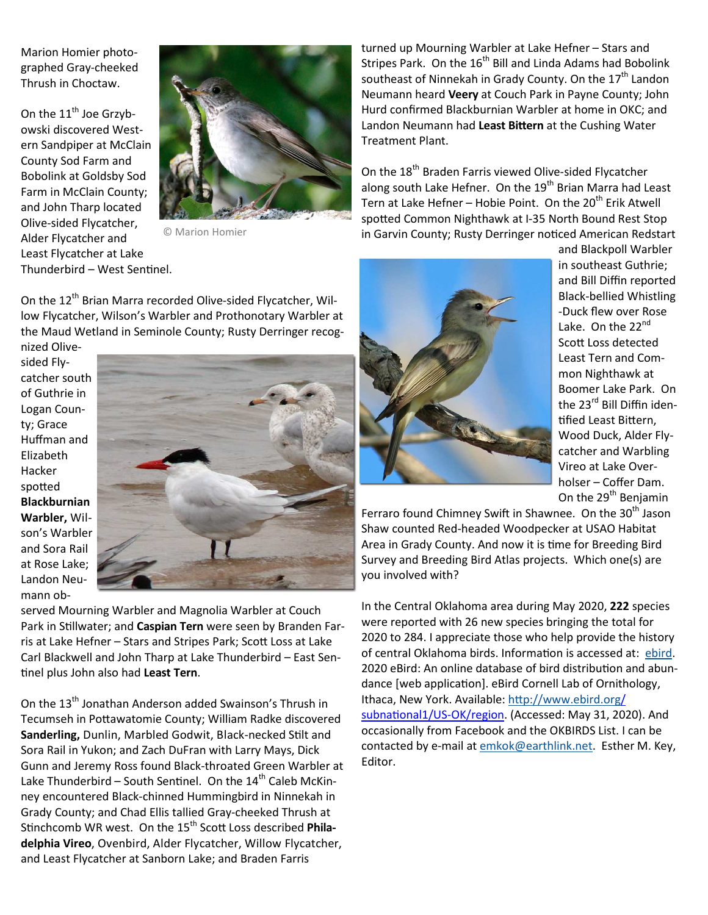Marion Homier photographed Gray-cheeked Thrush in Choctaw.

On the  $11<sup>th</sup>$  Joe Grzybowski discovered Western Sandpiper at McClain County Sod Farm and Bobolink at Goldsby Sod Farm in McClain County; and John Tharp located Olive-sided Flycatcher, Alder Flycatcher and Least Flycatcher at Lake Thunderbird – West Sentinel.



© Marion Homier

On the 12<sup>th</sup> Brian Marra recorded Olive-sided Flycatcher, Willow Flycatcher, Wilson's Warbler and Prothonotary Warbler at the Maud Wetland in Seminole County; Rusty Derringer recog-

nized Olivesided Flycatcher south of Guthrie in Logan County; Grace Huffman and Elizabeth Hacker spotted **Blackburnian Warbler,** Wilson's Warbler and Sora Rail at Rose Lake; Landon Neumann ob-



served Mourning Warbler and Magnolia Warbler at Couch Park in Stillwater; and **Caspian Tern** were seen by Branden Farris at Lake Hefner - Stars and Stripes Park; Scott Loss at Lake Carl Blackwell and John Tharp at Lake Thunderbird – East Sen- %nel plus John also had **Least Tern**.

On the 13<sup>th</sup> Jonathan Anderson added Swainson's Thrush in Tecumseh in Pottawatomie County; William Radke discovered Sanderling, Dunlin, Marbled Godwit, Black-necked Stilt and Sora Rail in Yukon; and Zach DuFran with Larry Mays, Dick Gunn and Jeremy Ross found Black-throated Green Warbler at Lake Thunderbird – South Sentinel. On the  $14<sup>th</sup>$  Caleb McKinney encountered Black-chinned Hummingbird in Ninnekah in Grady County; and Chad Ellis tallied Gray-cheeked Thrush at Stinchcomb WR west. On the 15<sup>th</sup> Scott Loss described **Philadelphia Vireo**, Ovenbird, Alder Flycatcher, Willow Flycatcher, and Least Flycatcher at Sanborn Lake; and Braden Farris

turned up Mourning Warbler at Lake Hefner – Stars and Stripes Park. On the 16<sup>th</sup> Bill and Linda Adams had Bobolink southeast of Ninnekah in Grady County. On the 17<sup>th</sup> Landon Neumann heard **Veery** at Couch Park in Payne County; John Hurd confirmed Blackburnian Warbler at home in OKC; and Landon Neumann had Least Bittern at the Cushing Water Treatment Plant.

On the  $18^{th}$  Braden Farris viewed Olive-sided Flycatcher along south Lake Hefner. On the  $19<sup>th</sup>$  Brian Marra had Least Tern at Lake Hefner – Hobie Point. On the  $20<sup>th</sup>$  Erik Atwell spotted Common Nighthawk at I-35 North Bound Rest Stop in Garvin County; Rusty Derringer noticed American Redstart



and Blackpoll Warbler in southeast Guthrie; and Bill Diffin reported Black-bellied Whistling -Duck flew over Rose Lake. On the 22<sup>nd</sup> Scott Loss detected Least Tern and Common Nighthawk at Boomer Lake Park. On the 23<sup>rd</sup> Bill Diffin identified Least Bittern, Wood Duck, Alder Flycatcher and Warbling Vireo at Lake Overholser – Coffer Dam. On the 29<sup>th</sup> Benjamin

Ferraro found Chimney Swift in Shawnee. On the 30<sup>th</sup> Jason Shaw counted Red-headed Woodpecker at USAO Habitat Area in Grady County. And now it is time for Breeding Bird Survey and Breeding Bird Atlas projects. Which one(s) are you involved with?

In the Central Oklahoma area during May 2020, **222** species were reported with 26 new species bringing the total for 2020 to 284. I appreciate those who help provide the history of central Oklahoma birds. Information is accessed at: ebird. 2020 eBird: An online database of bird distribution and abundance [web application]. eBird Cornell Lab of Ornithology, Ithaca, New York. Available: http://www.ebird.org/ subnational1/US-OK/region. (Accessed: May 31, 2020). And occasionally from Facebook and the OKBIRDS List. I can be contacted by e-mail at emkok@earthlink.net. Esther M. Key, Editor.